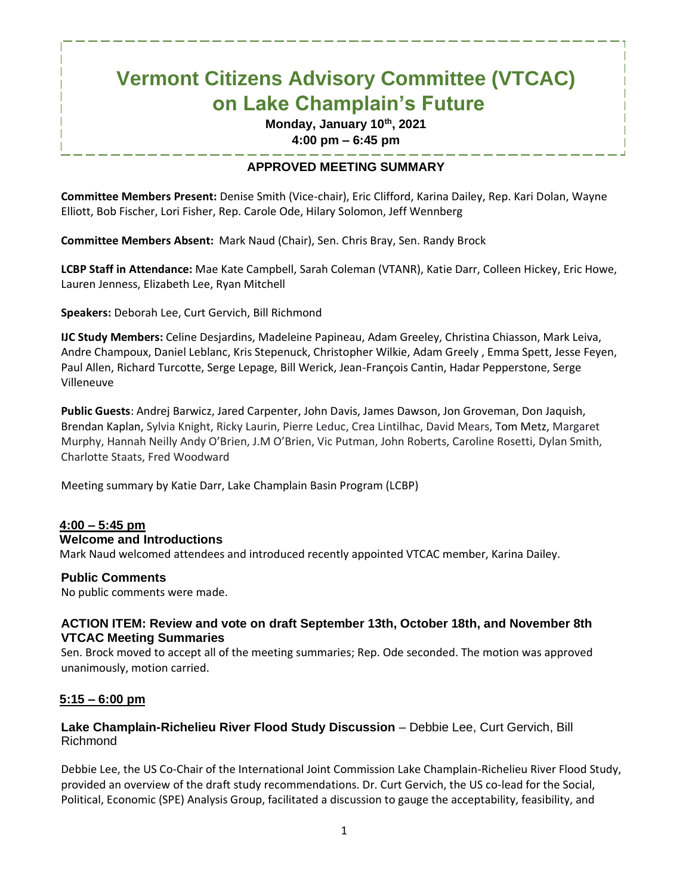# **Vermont Citizens Advisory Committee (VTCAC) on Lake Champlain's Future**

**Monday, January 10th, 2021 4:00 pm – 6:45 pm**

# **APPROVED MEETING SUMMARY**

**Committee Members Present:** Denise Smith (Vice-chair), Eric Clifford, Karina Dailey, Rep. Kari Dolan, Wayne Elliott, Bob Fischer, Lori Fisher, Rep. Carole Ode, Hilary Solomon, Jeff Wennberg

**Committee Members Absent:** Mark Naud (Chair), Sen. Chris Bray, Sen. Randy Brock

**LCBP Staff in Attendance:** Mae Kate Campbell, Sarah Coleman (VTANR), Katie Darr, Colleen Hickey, Eric Howe, Lauren Jenness, Elizabeth Lee, Ryan Mitchell

**Speakers:** Deborah Lee, Curt Gervich, Bill Richmond

**IJC Study Members:** Celine Desjardins, Madeleine Papineau, Adam Greeley, Christina Chiasson, Mark Leiva, Andre Champoux, Daniel Leblanc, Kris Stepenuck, Christopher Wilkie, Adam Greely , Emma Spett, Jesse Feyen, Paul Allen, Richard Turcotte, Serge Lepage, Bill Werick, Jean-François Cantin, Hadar Pepperstone, Serge Villeneuve

**Public Guests**: Andrej Barwicz, Jared Carpenter, John Davis, James Dawson, Jon Groveman, Don Jaquish, Brendan Kaplan, Sylvia Knight, Ricky Laurin, Pierre Leduc, Crea Lintilhac, David Mears, Tom Metz, Margaret Murphy, Hannah Neilly Andy O'Brien, J.M O'Brien, Vic Putman, John Roberts, Caroline Rosetti, Dylan Smith, Charlotte Staats, Fred Woodward

Meeting summary by Katie Darr, Lake Champlain Basin Program (LCBP)

## **4:00 – 5:45 pm**

#### **Welcome and Introductions**

Mark Naud welcomed attendees and introduced recently appointed VTCAC member, Karina Dailey.

#### **Public Comments**

No public comments were made.

## **ACTION ITEM: Review and vote on draft September 13th, October 18th, and November 8th VTCAC Meeting Summaries**

Sen. Brock moved to accept all of the meeting summaries; Rep. Ode seconded. The motion was approved unanimously, motion carried.

## **5:15 – 6:00 pm**

## **Lake Champlain-Richelieu River Flood Study Discussion** – Debbie Lee, Curt Gervich, Bill Richmond

Debbie Lee, the US Co-Chair of the International Joint Commission Lake Champlain-Richelieu River Flood Study, provided an overview of the draft study recommendations. Dr. Curt Gervich, the US co-lead for the Social, Political, Economic (SPE) Analysis Group, facilitated a discussion to gauge the acceptability, feasibility, and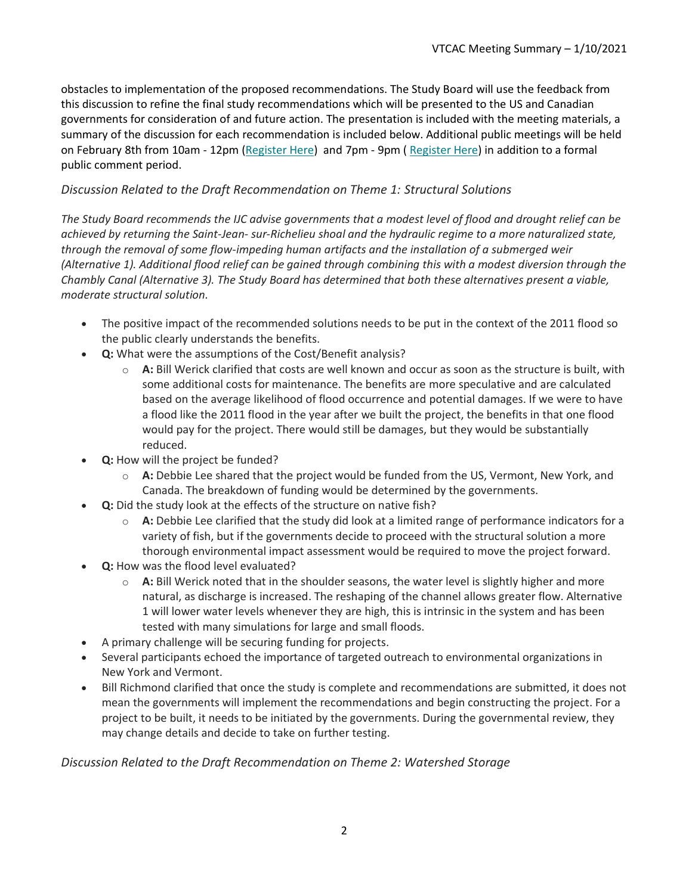obstacles to implementation of the proposed recommendations. The Study Board will use the feedback from this discussion to refine the final study recommendations which will be presented to the US and Canadian governments for consideration of and future action. The presentation is included with the meeting materials, a summary of the discussion for each recommendation is included below. Additional public meetings will be held on February 8th from 10am - 12pm [\(Register Here\)](https://ijc.us2.list-manage.com/track/click?u=6f596332b572c1092ac6c20a3&id=27b7ed68ec&e=db16ca91ac) and 7pm - 9pm ( [Register Here\)](https://ijc.us2.list-manage.com/track/click?u=6f596332b572c1092ac6c20a3&id=cceb24bf20&e=db16ca91ac) in addition to a formal public comment period.

# *Discussion Related to the Draft Recommendation on Theme 1: Structural Solutions*

*The Study Board recommends the IJC advise governments that a modest level of flood and drought relief can be achieved by returning the Saint-Jean- sur-Richelieu shoal and the hydraulic regime to a more naturalized state, through the removal of some flow-impeding human artifacts and the installation of a submerged weir (Alternative 1). Additional flood relief can be gained through combining this with a modest diversion through the Chambly Canal (Alternative 3). The Study Board has determined that both these alternatives present a viable, moderate structural solution.*

- The positive impact of the recommended solutions needs to be put in the context of the 2011 flood so the public clearly understands the benefits.
- **Q:** What were the assumptions of the Cost/Benefit analysis?
	- o **A:** Bill Werick clarified that costs are well known and occur as soon as the structure is built, with some additional costs for maintenance. The benefits are more speculative and are calculated based on the average likelihood of flood occurrence and potential damages. If we were to have a flood like the 2011 flood in the year after we built the project, the benefits in that one flood would pay for the project. There would still be damages, but they would be substantially reduced.
- **Q:** How will the project be funded?
	- o **A:** Debbie Lee shared that the project would be funded from the US, Vermont, New York, and Canada. The breakdown of funding would be determined by the governments.
- **Q:** Did the study look at the effects of the structure on native fish?
	- o **A:** Debbie Lee clarified that the study did look at a limited range of performance indicators for a variety of fish, but if the governments decide to proceed with the structural solution a more thorough environmental impact assessment would be required to move the project forward.
- **Q:** How was the flood level evaluated?
	- o **A:** Bill Werick noted that in the shoulder seasons, the water level is slightly higher and more natural, as discharge is increased. The reshaping of the channel allows greater flow. Alternative 1 will lower water levels whenever they are high, this is intrinsic in the system and has been tested with many simulations for large and small floods.
- A primary challenge will be securing funding for projects.
- Several participants echoed the importance of targeted outreach to environmental organizations in New York and Vermont.
- Bill Richmond clarified that once the study is complete and recommendations are submitted, it does not mean the governments will implement the recommendations and begin constructing the project. For a project to be built, it needs to be initiated by the governments. During the governmental review, they may change details and decide to take on further testing.

*Discussion Related to the Draft Recommendation on Theme 2: Watershed Storage*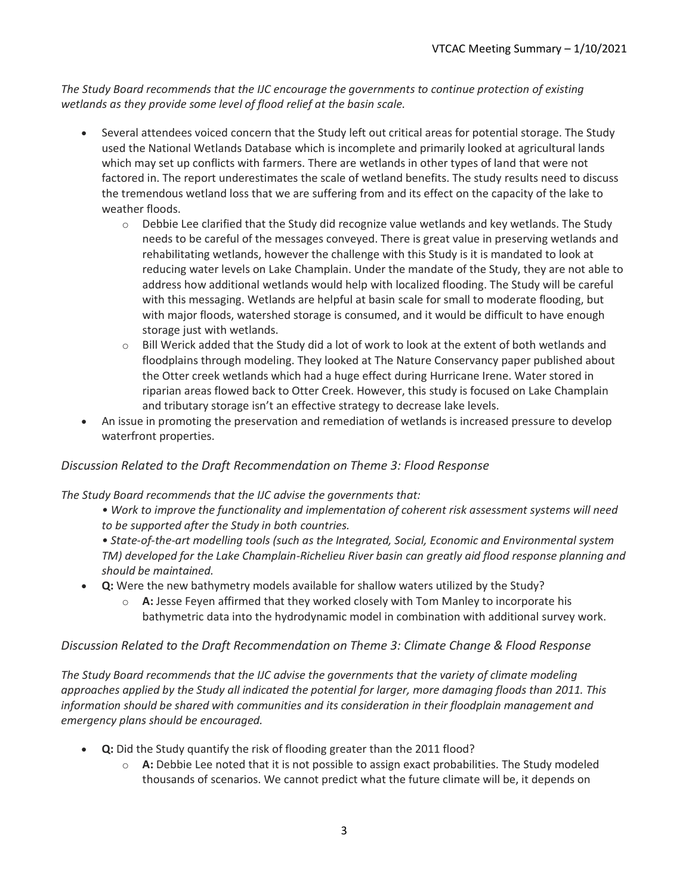*The Study Board recommends that the IJC encourage the governments to continue protection of existing wetlands as they provide some level of flood relief at the basin scale.*

- Several attendees voiced concern that the Study left out critical areas for potential storage. The Study used the National Wetlands Database which is incomplete and primarily looked at agricultural lands which may set up conflicts with farmers. There are wetlands in other types of land that were not factored in. The report underestimates the scale of wetland benefits. The study results need to discuss the tremendous wetland loss that we are suffering from and its effect on the capacity of the lake to weather floods.
	- $\circ$  Debbie Lee clarified that the Study did recognize value wetlands and key wetlands. The Study needs to be careful of the messages conveyed. There is great value in preserving wetlands and rehabilitating wetlands, however the challenge with this Study is it is mandated to look at reducing water levels on Lake Champlain. Under the mandate of the Study, they are not able to address how additional wetlands would help with localized flooding. The Study will be careful with this messaging. Wetlands are helpful at basin scale for small to moderate flooding, but with major floods, watershed storage is consumed, and it would be difficult to have enough storage just with wetlands.
	- $\circ$  Bill Werick added that the Study did a lot of work to look at the extent of both wetlands and floodplains through modeling. They looked at The Nature Conservancy paper published about the Otter creek wetlands which had a huge effect during Hurricane Irene. Water stored in riparian areas flowed back to Otter Creek. However, this study is focused on Lake Champlain and tributary storage isn't an effective strategy to decrease lake levels.
- An issue in promoting the preservation and remediation of wetlands is increased pressure to develop waterfront properties.

## *Discussion Related to the Draft Recommendation on Theme 3: Flood Response*

*The Study Board recommends that the IJC advise the governments that:*

- *Work to improve the functionality and implementation of coherent risk assessment systems will need to be supported after the Study in both countries.*
- *State-of-the-art modelling tools (such as the Integrated, Social, Economic and Environmental system TM) developed for the Lake Champlain-Richelieu River basin can greatly aid flood response planning and should be maintained.*
- **Q:** Were the new bathymetry models available for shallow waters utilized by the Study?
	- o **A:** Jesse Feyen affirmed that they worked closely with Tom Manley to incorporate his bathymetric data into the hydrodynamic model in combination with additional survey work.

## *Discussion Related to the Draft Recommendation on Theme 3: Climate Change & Flood Response*

*The Study Board recommends that the IJC advise the governments that the variety of climate modeling approaches applied by the Study all indicated the potential for larger, more damaging floods than 2011. This information should be shared with communities and its consideration in their floodplain management and emergency plans should be encouraged.*

- **Q:** Did the Study quantify the risk of flooding greater than the 2011 flood?
	- o **A:** Debbie Lee noted that it is not possible to assign exact probabilities. The Study modeled thousands of scenarios. We cannot predict what the future climate will be, it depends on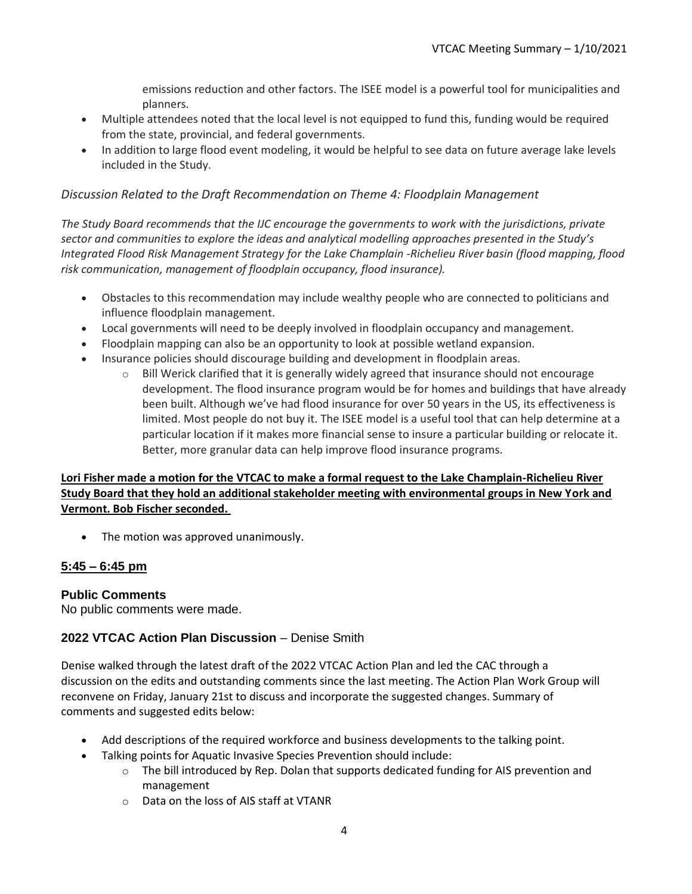emissions reduction and other factors. The ISEE model is a powerful tool for municipalities and planners.

- Multiple attendees noted that the local level is not equipped to fund this, funding would be required from the state, provincial, and federal governments.
- In addition to large flood event modeling, it would be helpful to see data on future average lake levels included in the Study.

#### *Discussion Related to the Draft Recommendation on Theme 4: Floodplain Management*

*The Study Board recommends that the IJC encourage the governments to work with the jurisdictions, private sector and communities to explore the ideas and analytical modelling approaches presented in the Study's Integrated Flood Risk Management Strategy for the Lake Champlain -Richelieu River basin (flood mapping, flood risk communication, management of floodplain occupancy, flood insurance).*

- Obstacles to this recommendation may include wealthy people who are connected to politicians and influence floodplain management.
- Local governments will need to be deeply involved in floodplain occupancy and management.
- Floodplain mapping can also be an opportunity to look at possible wetland expansion.
- Insurance policies should discourage building and development in floodplain areas.
	- $\circ$  Bill Werick clarified that it is generally widely agreed that insurance should not encourage development. The flood insurance program would be for homes and buildings that have already been built. Although we've had flood insurance for over 50 years in the US, its effectiveness is limited. Most people do not buy it. The ISEE model is a useful tool that can help determine at a particular location if it makes more financial sense to insure a particular building or relocate it. Better, more granular data can help improve flood insurance programs.

## **Lori Fisher made a motion for the VTCAC to make a formal request to the Lake Champlain-Richelieu River Study Board that they hold an additional stakeholder meeting with environmental groups in New York and Vermont. Bob Fischer seconded.**

• The motion was approved unanimously.

## **5:45 – 6:45 pm**

## **Public Comments**

No public comments were made.

## **2022 VTCAC Action Plan Discussion** – Denise Smith

Denise walked through the latest draft of the 2022 VTCAC Action Plan and led the CAC through a discussion on the edits and outstanding comments since the last meeting. The Action Plan Work Group will reconvene on Friday, January 21st to discuss and incorporate the suggested changes. Summary of comments and suggested edits below:

- Add descriptions of the required workforce and business developments to the talking point.
- Talking points for Aquatic Invasive Species Prevention should include:
	- $\circ$  The bill introduced by Rep. Dolan that supports dedicated funding for AIS prevention and management
	- o Data on the loss of AIS staff at VTANR